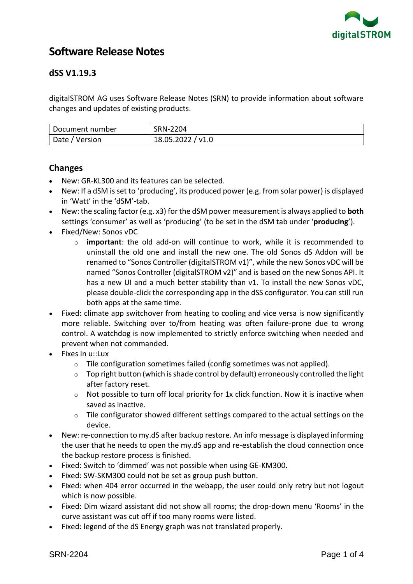

# **Software Release Notes**

# **dSS V1.19.3**

digitalSTROM AG uses Software Release Notes (SRN) to provide information about software changes and updates of existing products.

| Document number | SRN-2204          |
|-----------------|-------------------|
| Date / Version  | 18.05.2022 / v1.0 |

## **Changes**

- New: GR-KL300 and its features can be selected.
- New: If a dSM is set to 'producing', its produced power (e.g. from solar power) is displayed in 'Watt' in the 'dSM'-tab.
- New: the scaling factor (e.g. x3) for the dSM power measurement is always applied to **both** settings 'consumer' as well as 'producing' (to be set in the dSM tab under '**producing**').
- Fixed/New: Sonos vDC
	- o **important**: the old add-on will continue to work, while it is recommended to uninstall the old one and install the new one. The old Sonos dS Addon will be renamed to "Sonos Controller (digitalSTROM v1)", while the new Sonos vDC will be named "Sonos Controller (digitalSTROM v2)" and is based on the new Sonos API. It has a new UI and a much better stability than v1. To install the new Sonos vDC, please double-click the corresponding app in the dSS configurator. You can still run both apps at the same time.
- Fixed: climate app switchover from heating to cooling and vice versa is now significantly more reliable. Switching over to/from heating was often failure-prone due to wrong control. A watchdog is now implemented to strictly enforce switching when needed and prevent when not commanded.
- Fixes in u::Lux
	- o Tile configuration sometimes failed (config sometimes was not applied).
	- $\circ$  Top right button (which is shade control by default) erroneously controlled the light after factory reset.
	- $\circ$  Not possible to turn off local priority for 1x click function. Now it is inactive when saved as inactive.
	- o Tile configurator showed different settings compared to the actual settings on the device.
- New: re-connection to my.dS after backup restore. An info message is displayed informing the user that he needs to open the my.dS app and re-establish the cloud connection once the backup restore process is finished.
- Fixed: Switch to 'dimmed' was not possible when using GE-KM300.
- Fixed: SW-SKM300 could not be set as group push button.
- Fixed: when 404 error occurred in the webapp, the user could only retry but not logout which is now possible.
- Fixed: Dim wizard assistant did not show all rooms; the drop-down menu 'Rooms' in the curve assistant was cut off if too many rooms were listed.
- Fixed: legend of the dS Energy graph was not translated properly.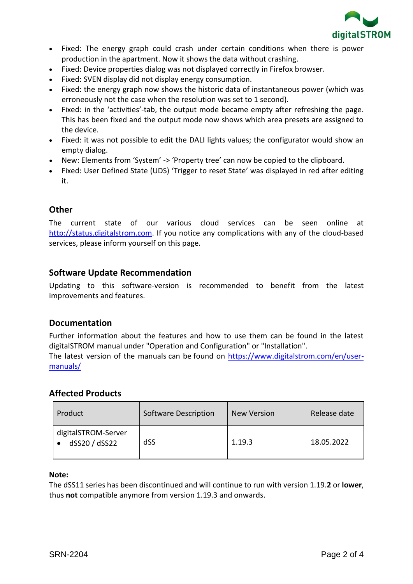

- Fixed: The energy graph could crash under certain conditions when there is power production in the apartment. Now it shows the data without crashing.
- Fixed: Device properties dialog was not displayed correctly in Firefox browser.
- Fixed: SVEN display did not display energy consumption.
- Fixed: the energy graph now shows the historic data of instantaneous power (which was erroneously not the case when the resolution was set to 1 second).
- Fixed: in the 'activities'-tab, the output mode became empty after refreshing the page. This has been fixed and the output mode now shows which area presets are assigned to the device.
- Fixed: it was not possible to edit the DALI lights values; the configurator would show an empty dialog.
- New: Elements from 'System' -> 'Property tree' can now be copied to the clipboard.
- Fixed: User Defined State (UDS) 'Trigger to reset State' was displayed in red after editing it.

# **Other**

The current state of our various cloud services can be seen online at [http://status.digitalstrom.com.](http://status.digitalstrom.com/) If you notice any complications with any of the cloud-based services, please inform yourself on this page.

# **Software Update Recommendation**

Updating to this software-version is recommended to benefit from the latest improvements and features.

## **Documentation**

Further information about the features and how to use them can be found in the latest digitalSTROM manual under "Operation and Configuration" or "Installation".

The latest version of the manuals can be found on [https://www.digitalstrom.com/en/user](https://www.digitalstrom.com/en/user-manuals/)[manuals/](https://www.digitalstrom.com/en/user-manuals/)

## **Affected Products**

| Product                              | Software Description | New Version | Release date |
|--------------------------------------|----------------------|-------------|--------------|
| digitalSTROM-Server<br>dSS20 / dSS22 | dSS                  | 1.19.3      | 18.05.2022   |

#### **Note:**

The dSS11 series has been discontinued and will continue to run with version 1.19.**2** or **lower**, thus **not** compatible anymore from version 1.19.3 and onwards.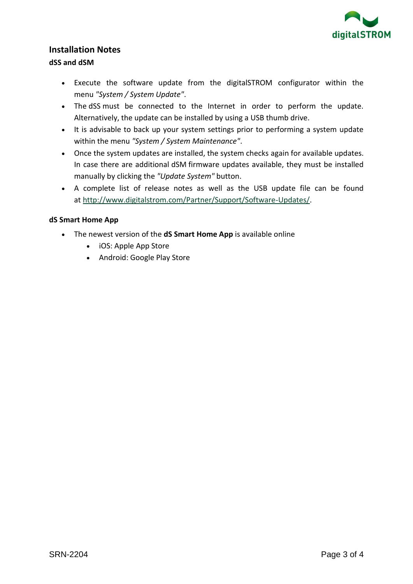

### **Installation Notes**

#### **dSS and dSM**

- Execute the software update from the digitalSTROM configurator within the menu *"System / System Update"*.
- The dSS must be connected to the Internet in order to perform the update. Alternatively, the update can be installed by using a USB thumb drive.
- It is advisable to back up your system settings prior to performing a system update within the menu *"System / System Maintenance"*.
- Once the system updates are installed, the system checks again for available updates. In case there are additional dSM firmware updates available, they must be installed manually by clicking the *"Update System"* button.
- A complete list of release notes as well as the USB update file can be found at [http://www.digitalstrom.com/Partner/Support/Software-Updates/.](http://www.digitalstrom.com/Partner/Support/Software-Updates/)

#### **dS Smart Home App**

- The newest version of the **dS Smart Home App** is available online
	- iOS: Apple App Store
	- Android: Google Play Store